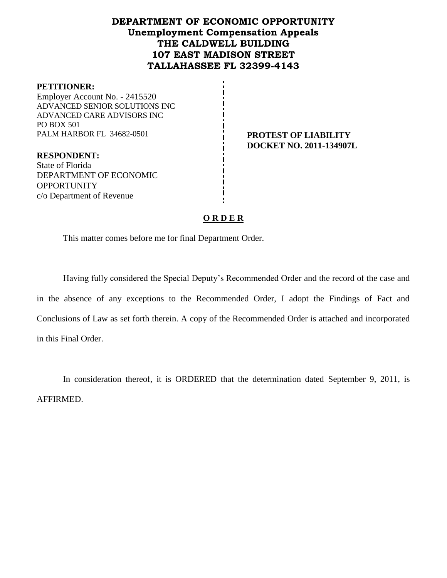## **DEPARTMENT OF ECONOMIC OPPORTUNITY Unemployment Compensation Appeals THE CALDWELL BUILDING 107 EAST MADISON STREET TALLAHASSEE FL 32399-4143**

#### **PETITIONER:**

Employer Account No. - 2415520 ADVANCED SENIOR SOLUTIONS INC ADVANCED CARE ADVISORS INC PO BOX 501 PALM HARBOR FL 34682-0501 **PROTEST OF LIABILITY** 

**DOCKET NO. 2011-134907L**

**RESPONDENT:** State of Florida DEPARTMENT OF ECONOMIC **OPPORTUNITY** c/o Department of Revenue

#### **O R D E R**

This matter comes before me for final Department Order.

Having fully considered the Special Deputy's Recommended Order and the record of the case and in the absence of any exceptions to the Recommended Order, I adopt the Findings of Fact and Conclusions of Law as set forth therein. A copy of the Recommended Order is attached and incorporated in this Final Order.

In consideration thereof, it is ORDERED that the determination dated September 9, 2011, is AFFIRMED.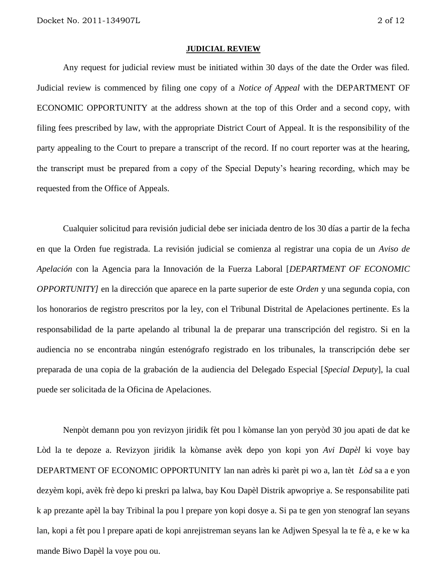#### **JUDICIAL REVIEW**

Any request for judicial review must be initiated within 30 days of the date the Order was filed. Judicial review is commenced by filing one copy of a *Notice of Appeal* with the DEPARTMENT OF ECONOMIC OPPORTUNITY at the address shown at the top of this Order and a second copy, with filing fees prescribed by law, with the appropriate District Court of Appeal. It is the responsibility of the party appealing to the Court to prepare a transcript of the record. If no court reporter was at the hearing, the transcript must be prepared from a copy of the Special Deputy's hearing recording, which may be requested from the Office of Appeals.

Cualquier solicitud para revisión judicial debe ser iniciada dentro de los 30 días a partir de la fecha en que la Orden fue registrada. La revisión judicial se comienza al registrar una copia de un *Aviso de Apelación* con la Agencia para la Innovación de la Fuerza Laboral [*DEPARTMENT OF ECONOMIC OPPORTUNITY]* en la dirección que aparece en la parte superior de este *Orden* y una segunda copia, con los honorarios de registro prescritos por la ley, con el Tribunal Distrital de Apelaciones pertinente. Es la responsabilidad de la parte apelando al tribunal la de preparar una transcripción del registro. Si en la audiencia no se encontraba ningún estenógrafo registrado en los tribunales, la transcripción debe ser preparada de una copia de la grabación de la audiencia del Delegado Especial [*Special Deputy*], la cual puede ser solicitada de la Oficina de Apelaciones.

Nenpòt demann pou yon revizyon jiridik fèt pou l kòmanse lan yon peryòd 30 jou apati de dat ke Lòd la te depoze a. Revizyon jiridik la kòmanse avèk depo yon kopi yon *Avi Dapèl* ki voye bay DEPARTMENT OF ECONOMIC OPPORTUNITY lan nan adrès ki parèt pi wo a, lan tèt *Lòd* sa a e yon dezyèm kopi, avèk frè depo ki preskri pa lalwa, bay Kou Dapèl Distrik apwopriye a. Se responsabilite pati k ap prezante apèl la bay Tribinal la pou l prepare yon kopi dosye a. Si pa te gen yon stenograf lan seyans lan, kopi a fèt pou l prepare apati de kopi anrejistreman seyans lan ke Adjwen Spesyal la te fè a, e ke w ka mande Biwo Dapèl la voye pou ou.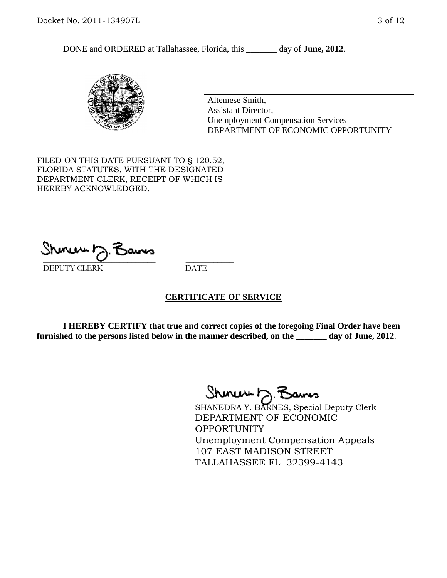DONE and ORDERED at Tallahassee, Florida, this \_\_\_\_\_\_\_ day of **June, 2012**.



Altemese Smith, Assistant Director, Unemployment Compensation Services DEPARTMENT OF ECONOMIC OPPORTUNITY

FILED ON THIS DATE PURSUANT TO § 120.52, FLORIDA STATUTES, WITH THE DESIGNATED DEPARTMENT CLERK, RECEIPT OF WHICH IS HEREBY ACKNOWLEDGED.

 $\mathcal{S}$ hmun $\mapsto$   $\mathcal{S}$ amo DEPUTY CLERK DATE

#### **CERTIFICATE OF SERVICE**

**I HEREBY CERTIFY that true and correct copies of the foregoing Final Order have been furnished to the persons listed below in the manner described, on the \_\_\_\_\_\_\_ day of June, 2012**.

Shoner D. Bams

SHANEDRA Y. BARNES, Special Deputy Clerk DEPARTMENT OF ECONOMIC OPPORTUNITY Unemployment Compensation Appeals 107 EAST MADISON STREET TALLAHASSEE FL 32399-4143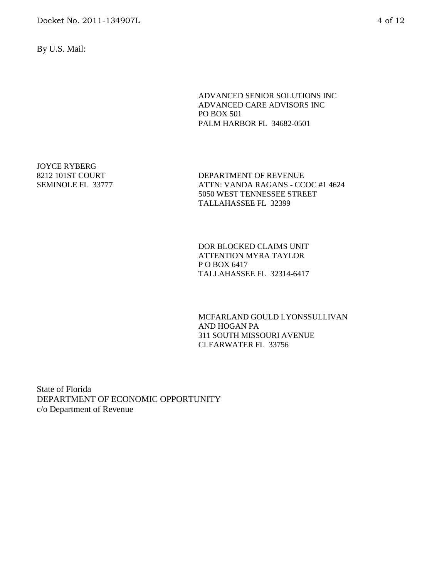By U.S. Mail:

ADVANCED SENIOR SOLUTIONS INC ADVANCED CARE ADVISORS INC PO BOX 501 PALM HARBOR FL 34682-0501

JOYCE RYBERG 8212 101ST COURT SEMINOLE FL 33777

DEPARTMENT OF REVENUE ATTN: VANDA RAGANS - CCOC #1 4624 5050 WEST TENNESSEE STREET TALLAHASSEE FL 32399

DOR BLOCKED CLAIMS UNIT ATTENTION MYRA TAYLOR P O BOX 6417 TALLAHASSEE FL 32314-6417

MCFARLAND GOULD LYONSSULLIVAN AND HOGAN PA 311 SOUTH MISSOURI AVENUE CLEARWATER FL 33756

State of Florida DEPARTMENT OF ECONOMIC OPPORTUNITY c/o Department of Revenue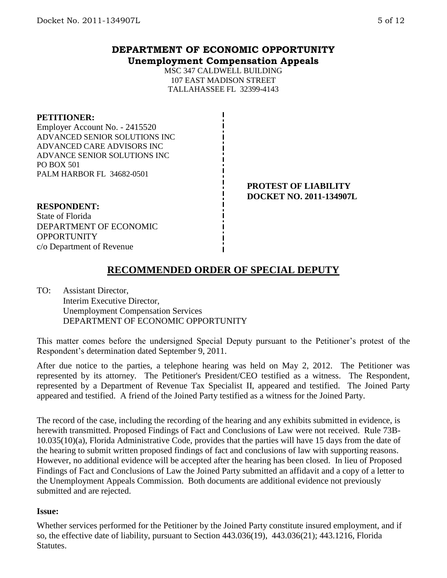## **DEPARTMENT OF ECONOMIC OPPORTUNITY Unemployment Compensation Appeals**

MSC 347 CALDWELL BUILDING 107 EAST MADISON STREET TALLAHASSEE FL 32399-4143

#### **PETITIONER:**

Employer Account No. - 2415520 ADVANCED SENIOR SOLUTIONS INC ADVANCED CARE ADVISORS INC ADVANCE SENIOR SOLUTIONS INC PO BOX 501 PALM HARBOR FL 34682-0501

#### **PROTEST OF LIABILITY DOCKET NO. 2011-134907L**

# **RESPONDENT:** State of Florida

DEPARTMENT OF ECONOMIC **OPPORTUNITY** c/o Department of Revenue

# **RECOMMENDED ORDER OF SPECIAL DEPUTY**

TO: Assistant Director, Interim Executive Director, Unemployment Compensation Services DEPARTMENT OF ECONOMIC OPPORTUNITY

This matter comes before the undersigned Special Deputy pursuant to the Petitioner's protest of the Respondent's determination dated September 9, 2011.

After due notice to the parties, a telephone hearing was held on May 2, 2012. The Petitioner was represented by its attorney. The Petitioner's President/CEO testified as a witness. The Respondent, represented by a Department of Revenue Tax Specialist II, appeared and testified. The Joined Party appeared and testified. A friend of the Joined Party testified as a witness for the Joined Party.

The record of the case, including the recording of the hearing and any exhibits submitted in evidence, is herewith transmitted. Proposed Findings of Fact and Conclusions of Law were not received. Rule 73B-10.035(10)(a), Florida Administrative Code, provides that the parties will have 15 days from the date of the hearing to submit written proposed findings of fact and conclusions of law with supporting reasons. However, no additional evidence will be accepted after the hearing has been closed. In lieu of Proposed Findings of Fact and Conclusions of Law the Joined Party submitted an affidavit and a copy of a letter to the Unemployment Appeals Commission. Both documents are additional evidence not previously submitted and are rejected.

### **Issue:**

Whether services performed for the Petitioner by the Joined Party constitute insured employment, and if so, the effective date of liability, pursuant to Section 443.036(19), 443.036(21); 443.1216, Florida Statutes.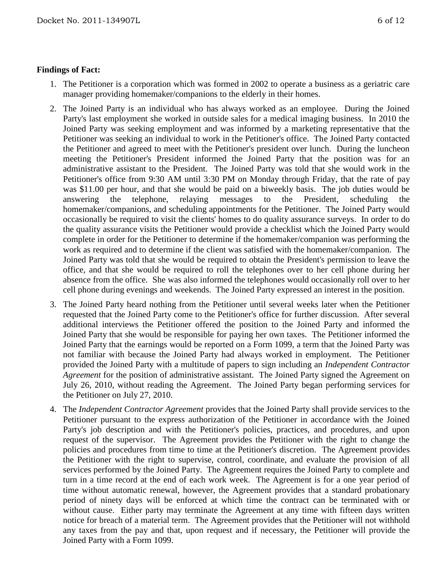### **Findings of Fact:**

- 1. The Petitioner is a corporation which was formed in 2002 to operate a business as a geriatric care manager providing homemaker/companions to the elderly in their homes.
- 2. The Joined Party is an individual who has always worked as an employee. During the Joined Party's last employment she worked in outside sales for a medical imaging business. In 2010 the Joined Party was seeking employment and was informed by a marketing representative that the Petitioner was seeking an individual to work in the Petitioner's office. The Joined Party contacted the Petitioner and agreed to meet with the Petitioner's president over lunch. During the luncheon meeting the Petitioner's President informed the Joined Party that the position was for an administrative assistant to the President. The Joined Party was told that she would work in the Petitioner's office from 9:30 AM until 3:30 PM on Monday through Friday, that the rate of pay was \$11.00 per hour, and that she would be paid on a biweekly basis. The job duties would be answering the telephone, relaying messages to the President, scheduling the homemaker/companions, and scheduling appointments for the Petitioner. The Joined Party would occasionally be required to visit the clients' homes to do quality assurance surveys. In order to do the quality assurance visits the Petitioner would provide a checklist which the Joined Party would complete in order for the Petitioner to determine if the homemaker/companion was performing the work as required and to determine if the client was satisfied with the homemaker/companion. The Joined Party was told that she would be required to obtain the President's permission to leave the office, and that she would be required to roll the telephones over to her cell phone during her absence from the office. She was also informed the telephones would occasionally roll over to her cell phone during evenings and weekends. The Joined Party expressed an interest in the position.
- 3. The Joined Party heard nothing from the Petitioner until several weeks later when the Petitioner requested that the Joined Party come to the Petitioner's office for further discussion. After several additional interviews the Petitioner offered the position to the Joined Party and informed the Joined Party that she would be responsible for paying her own taxes. The Petitioner informed the Joined Party that the earnings would be reported on a Form 1099, a term that the Joined Party was not familiar with because the Joined Party had always worked in employment. The Petitioner provided the Joined Party with a multitude of papers to sign including an *Independent Contractor Agreement* for the position of administrative assistant*.* The Joined Party signed the Agreement on July 26, 2010, without reading the Agreement. The Joined Party began performing services for the Petitioner on July 27, 2010.
- 4. The *Independent Contractor Agreement* provides that the Joined Party shall provide services to the Petitioner pursuant to the express authorization of the Petitioner in accordance with the Joined Party's job description and with the Petitioner's policies, practices, and procedures, and upon request of the supervisor. The Agreement provides the Petitioner with the right to change the policies and procedures from time to time at the Petitioner's discretion. The Agreement provides the Petitioner with the right to supervise, control, coordinate, and evaluate the provision of all services performed by the Joined Party. The Agreement requires the Joined Party to complete and turn in a time record at the end of each work week. The Agreement is for a one year period of time without automatic renewal, however, the Agreement provides that a standard probationary period of ninety days will be enforced at which time the contract can be terminated with or without cause. Either party may terminate the Agreement at any time with fifteen days written notice for breach of a material term. The Agreement provides that the Petitioner will not withhold any taxes from the pay and that, upon request and if necessary, the Petitioner will provide the Joined Party with a Form 1099.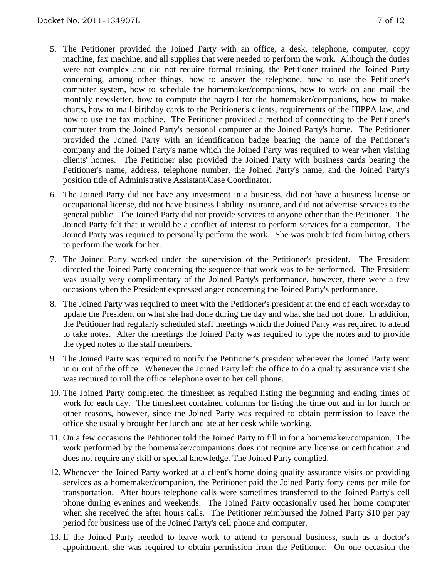- 5. The Petitioner provided the Joined Party with an office, a desk, telephone, computer, copy machine, fax machine, and all supplies that were needed to perform the work. Although the duties were not complex and did not require formal training, the Petitioner trained the Joined Party concerning, among other things, how to answer the telephone, how to use the Petitioner's computer system, how to schedule the homemaker/companions, how to work on and mail the monthly newsletter, how to compute the payroll for the homemaker/companions, how to make charts, how to mail birthday cards to the Petitioner's clients, requirements of the HIPPA law, and how to use the fax machine. The Petitioner provided a method of connecting to the Petitioner's computer from the Joined Party's personal computer at the Joined Party's home. The Petitioner provided the Joined Party with an identification badge bearing the name of the Petitioner's company and the Joined Party's name which the Joined Party was required to wear when visiting clients' homes. The Petitioner also provided the Joined Party with business cards bearing the Petitioner's name, address, telephone number, the Joined Party's name, and the Joined Party's position title of Administrative Assistant/Case Coordinator.
- 6. The Joined Party did not have any investment in a business, did not have a business license or occupational license, did not have business liability insurance, and did not advertise services to the general public. The Joined Party did not provide services to anyone other than the Petitioner. The Joined Party felt that it would be a conflict of interest to perform services for a competitor. The Joined Party was required to personally perform the work. She was prohibited from hiring others to perform the work for her.
- 7. The Joined Party worked under the supervision of the Petitioner's president. The President directed the Joined Party concerning the sequence that work was to be performed. The President was usually very complimentary of the Joined Party's performance, however, there were a few occasions when the President expressed anger concerning the Joined Party's performance.
- 8. The Joined Party was required to meet with the Petitioner's president at the end of each workday to update the President on what she had done during the day and what she had not done. In addition, the Petitioner had regularly scheduled staff meetings which the Joined Party was required to attend to take notes. After the meetings the Joined Party was required to type the notes and to provide the typed notes to the staff members.
- 9. The Joined Party was required to notify the Petitioner's president whenever the Joined Party went in or out of the office. Whenever the Joined Party left the office to do a quality assurance visit she was required to roll the office telephone over to her cell phone.
- 10. The Joined Party completed the timesheet as required listing the beginning and ending times of work for each day. The timesheet contained columns for listing the time out and in for lunch or other reasons, however, since the Joined Party was required to obtain permission to leave the office she usually brought her lunch and ate at her desk while working.
- 11. On a few occasions the Petitioner told the Joined Party to fill in for a homemaker/companion. The work performed by the homemaker/companions does not require any license or certification and does not require any skill or special knowledge. The Joined Party complied.
- 12. Whenever the Joined Party worked at a client's home doing quality assurance visits or providing services as a homemaker/companion, the Petitioner paid the Joined Party forty cents per mile for transportation. After hours telephone calls were sometimes transferred to the Joined Party's cell phone during evenings and weekends. The Joined Party occasionally used her home computer when she received the after hours calls. The Petitioner reimbursed the Joined Party \$10 per pay period for business use of the Joined Party's cell phone and computer.
- 13. If the Joined Party needed to leave work to attend to personal business, such as a doctor's appointment, she was required to obtain permission from the Petitioner. On one occasion the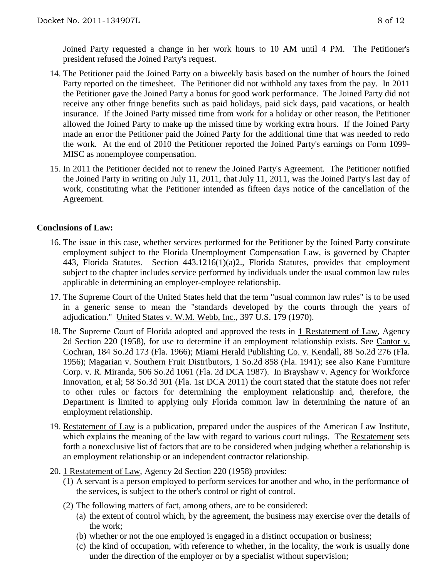Joined Party requested a change in her work hours to 10 AM until 4 PM. The Petitioner's president refused the Joined Party's request.

- 14. The Petitioner paid the Joined Party on a biweekly basis based on the number of hours the Joined Party reported on the timesheet. The Petitioner did not withhold any taxes from the pay. In 2011 the Petitioner gave the Joined Party a bonus for good work performance. The Joined Party did not receive any other fringe benefits such as paid holidays, paid sick days, paid vacations, or health insurance. If the Joined Party missed time from work for a holiday or other reason, the Petitioner allowed the Joined Party to make up the missed time by working extra hours. If the Joined Party made an error the Petitioner paid the Joined Party for the additional time that was needed to redo the work. At the end of 2010 the Petitioner reported the Joined Party's earnings on Form 1099- MISC as nonemployee compensation.
- 15. In 2011 the Petitioner decided not to renew the Joined Party's Agreement. The Petitioner notified the Joined Party in writing on July 11, 2011, that July 11, 2011, was the Joined Party's last day of work, constituting what the Petitioner intended as fifteen days notice of the cancellation of the Agreement.

#### **Conclusions of Law:**

- 16. The issue in this case, whether services performed for the Petitioner by the Joined Party constitute employment subject to the Florida Unemployment Compensation Law, is governed by Chapter 443, Florida Statutes. Section 443.1216(1)(a)2., Florida Statutes, provides that employment subject to the chapter includes service performed by individuals under the usual common law rules applicable in determining an employer-employee relationship.
- 17. The Supreme Court of the United States held that the term "usual common law rules" is to be used in a generic sense to mean the "standards developed by the courts through the years of adjudication." United States v. W.M. Webb, Inc., 397 U.S. 179 (1970).
- 18. The Supreme Court of Florida adopted and approved the tests in 1 Restatement of Law, Agency 2d Section 220 (1958), for use to determine if an employment relationship exists. See Cantor v. Cochran, 184 So.2d 173 (Fla. 1966); Miami Herald Publishing Co. v. Kendall, 88 So.2d 276 (Fla. 1956); Magarian v. Southern Fruit Distributors, 1 So.2d 858 (Fla. 1941); see also Kane Furniture Corp. v. R. Miranda, 506 So.2d 1061 (Fla. 2d DCA 1987). In Brayshaw v. Agency for Workforce Innovation, et al; 58 So.3d 301 (Fla. 1st DCA 2011) the court stated that the statute does not refer to other rules or factors for determining the employment relationship and, therefore, the Department is limited to applying only Florida common law in determining the nature of an employment relationship.
- 19. Restatement of Law is a publication, prepared under the auspices of the American Law Institute, which explains the meaning of the law with regard to various court rulings. The Restatement sets forth a nonexclusive list of factors that are to be considered when judging whether a relationship is an employment relationship or an independent contractor relationship.
- 20. 1 Restatement of Law, Agency 2d Section 220 (1958) provides:
	- (1) A servant is a person employed to perform services for another and who, in the performance of the services, is subject to the other's control or right of control.
	- (2) The following matters of fact, among others, are to be considered:
		- (a) the extent of control which, by the agreement, the business may exercise over the details of the work;
		- (b) whether or not the one employed is engaged in a distinct occupation or business;
		- (c) the kind of occupation, with reference to whether, in the locality, the work is usually done under the direction of the employer or by a specialist without supervision;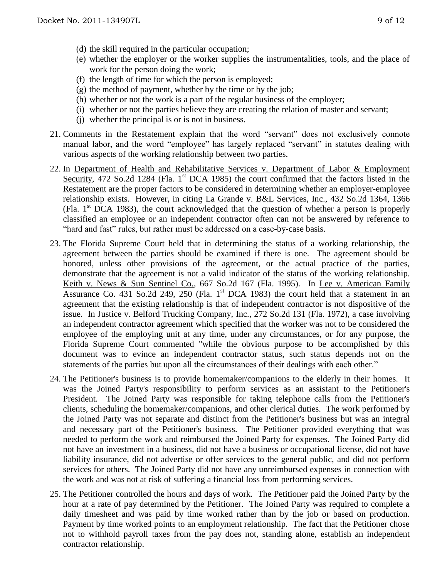- (d) the skill required in the particular occupation;
- (e) whether the employer or the worker supplies the instrumentalities, tools, and the place of work for the person doing the work;
- (f) the length of time for which the person is employed;
- (g) the method of payment, whether by the time or by the job;
- (h) whether or not the work is a part of the regular business of the employer;
- (i) whether or not the parties believe they are creating the relation of master and servant;
- (j) whether the principal is or is not in business.
- 21. Comments in the Restatement explain that the word "servant" does not exclusively connote manual labor, and the word "employee" has largely replaced "servant" in statutes dealing with various aspects of the working relationship between two parties.
- 22. In Department of Health and Rehabilitative Services v. Department of Labor & Employment Security, 472 So.2d 1284 (Fla. 1<sup>st</sup> DCA 1985) the court confirmed that the factors listed in the Restatement are the proper factors to be considered in determining whether an employer-employee relationship exists. However, in citing La Grande v. B&L Services, Inc., 432 So.2d 1364, 1366 (Fla.  $1<sup>st</sup>$  DCA 1983), the court acknowledged that the question of whether a person is properly classified an employee or an independent contractor often can not be answered by reference to "hard and fast" rules, but rather must be addressed on a case-by-case basis.
- 23. The Florida Supreme Court held that in determining the status of a working relationship, the agreement between the parties should be examined if there is one. The agreement should be honored, unless other provisions of the agreement, or the actual practice of the parties, demonstrate that the agreement is not a valid indicator of the status of the working relationship. Keith v. News & Sun Sentinel Co., 667 So.2d 167 (Fla. 1995). In Lee v. American Family Assurance Co. 431 So.2d 249, 250 (Fla. 1st DCA 1983) the court held that a statement in an agreement that the existing relationship is that of independent contractor is not dispositive of the issue. In Justice v. Belford Trucking Company, Inc., 272 So.2d 131 (Fla. 1972), a case involving an independent contractor agreement which specified that the worker was not to be considered the employee of the employing unit at any time, under any circumstances, or for any purpose, the Florida Supreme Court commented "while the obvious purpose to be accomplished by this document was to evince an independent contractor status, such status depends not on the statements of the parties but upon all the circumstances of their dealings with each other."
- 24. The Petitioner's business is to provide homemaker/companions to the elderly in their homes. It was the Joined Party's responsibility to perform services as an assistant to the Petitioner's President. The Joined Party was responsible for taking telephone calls from the Petitioner's clients, scheduling the homemaker/companions, and other clerical duties. The work performed by the Joined Party was not separate and distinct from the Petitioner's business but was an integral and necessary part of the Petitioner's business. The Petitioner provided everything that was needed to perform the work and reimbursed the Joined Party for expenses. The Joined Party did not have an investment in a business, did not have a business or occupational license, did not have liability insurance, did not advertise or offer services to the general public, and did not perform services for others. The Joined Party did not have any unreimbursed expenses in connection with the work and was not at risk of suffering a financial loss from performing services.
- 25. The Petitioner controlled the hours and days of work. The Petitioner paid the Joined Party by the hour at a rate of pay determined by the Petitioner. The Joined Party was required to complete a daily timesheet and was paid by time worked rather than by the job or based on production. Payment by time worked points to an employment relationship. The fact that the Petitioner chose not to withhold payroll taxes from the pay does not, standing alone, establish an independent contractor relationship.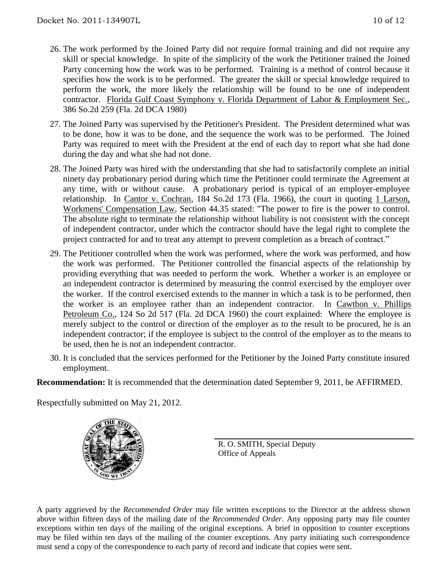- 26. The work performed by the Joined Party did not require formal training and did not require any skill or special knowledge. In spite of the simplicity of the work the Petitioner trained the Joined Party concerning how the work was to be performed. Training is a method of control because it specifies how the work is to be performed. The greater the skill or special knowledge required to perform the work, the more likely the relationship will be found to be one of independent contractor. Florida Gulf Coast Symphony v. Florida Department of Labor & Employment Sec., 386 So.2d 259 (Fla. 2d DCA 1980)
- 27. The Joined Party was supervised by the Petitioner's President. The President determined what was to be done, how it was to be done, and the sequence the work was to be performed. The Joined Party was required to meet with the President at the end of each day to report what she had done during the day and what she had not done.
- 28. The Joined Party was hired with the understanding that she had to satisfactorily complete an initial ninety day probationary period during which time the Petitioner could terminate the Agreement at any time, with or without cause. A probationary period is typical of an employer-employee relationship. In Cantor v. Cochran, 184 So.2d 173 (Fla. 1966), the court in quoting 1 Larson, Workmens' Compensation Law, Section 44.35 stated: "The power to fire is the power to control. The absolute right to terminate the relationship without liability is not consistent with the concept of independent contractor, under which the contractor should have the legal right to complete the project contracted for and to treat any attempt to prevent completion as a breach of contract."
- 29. The Petitioner controlled when the work was performed, where the work was performed, and how the work was performed. The Petitioner controlled the financial aspects of the relationship by providing everything that was needed to perform the work. Whether a worker is an employee or an independent contractor is determined by measuring the control exercised by the employer over the worker. If the control exercised extends to the manner in which a task is to be performed, then the worker is an employee rather than an independent contractor. In Cawthon v. Phillips Petroleum Co., 124 So 2d 517 (Fla. 2d DCA 1960) the court explained: Where the employee is merely subject to the control or direction of the employer as to the result to be procured, he is an independent contractor; if the employee is subject to the control of the employer as to the means to be used, then he is not an independent contractor.
- 30. It is concluded that the services performed for the Petitioner by the Joined Party constitute insured employment.

**Recommendation:** It is recommended that the determination dated September 9, 2011, be AFFIRMED.

Respectfully submitted on May 21, 2012.



R. O. SMITH, Special Deputy Office of Appeals

A party aggrieved by the *Recommended Order* may file written exceptions to the Director at the address shown above within fifteen days of the mailing date of the *Recommended Order*. Any opposing party may file counter exceptions within ten days of the mailing of the original exceptions. A brief in opposition to counter exceptions may be filed within ten days of the mailing of the counter exceptions. Any party initiating such correspondence must send a copy of the correspondence to each party of record and indicate that copies were sent.